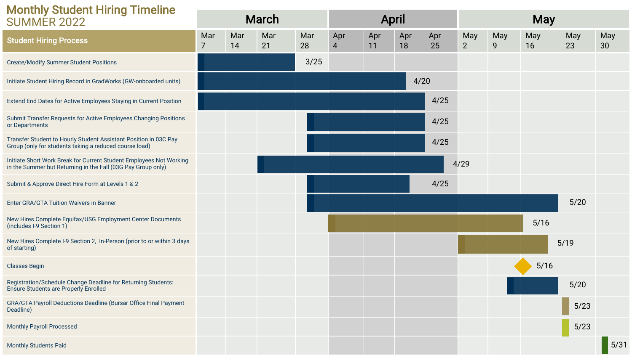| <b>Monthly Student Hiring Timeline</b>                                                                                              |                       |           |              |           |                       |              |           |           |                       |            |           |           |                        |  |
|-------------------------------------------------------------------------------------------------------------------------------------|-----------------------|-----------|--------------|-----------|-----------------------|--------------|-----------|-----------|-----------------------|------------|-----------|-----------|------------------------|--|
| <b>SUMMER 2022</b>                                                                                                                  |                       |           | <b>March</b> |           |                       | <b>April</b> |           |           |                       | <b>May</b> |           |           |                        |  |
| <b>Student Hiring Process</b>                                                                                                       | Mar<br>$\overline{7}$ | Mar<br>14 | Mar<br>21    | Mar<br>28 | Apr<br>$\overline{4}$ | Apr<br>11    | Apr<br>18 | Apr<br>25 | May<br>$\overline{2}$ | May<br>9   | May<br>16 | May<br>23 | May<br>30 <sup>°</sup> |  |
| <b>Create/Modify Summer Student Positions</b>                                                                                       |                       |           |              | 3/25      |                       |              |           |           |                       |            |           |           |                        |  |
| Initiate Student Hiring Record in GradWorks (GW-onboarded units)                                                                    |                       |           |              |           |                       |              | 4/20      |           |                       |            |           |           |                        |  |
| Extend End Dates for Active Employees Staying in Current Position                                                                   |                       |           |              |           |                       |              |           | 4/25      |                       |            |           |           |                        |  |
| Submit Transfer Requests for Active Employees Changing Positions<br>or Departments                                                  |                       |           |              |           |                       |              |           | 4/25      |                       |            |           |           |                        |  |
| Transfer Student to Hourly Student Assistant Position in 03C Pay<br>Group (only for students taking a reduced course load)          |                       |           |              |           |                       |              |           | 4/25      |                       |            |           |           |                        |  |
| Initiate Short Work Break for Current Student Employees Not Working<br>in the Summer but Returning in the Fall (03G Pay Group only) |                       |           |              |           |                       |              |           |           | 4/29                  |            |           |           |                        |  |
| Submit & Approve Direct Hire Form at Levels 1 & 2                                                                                   |                       |           |              |           |                       |              |           | 4/25      |                       |            |           |           |                        |  |
| Enter GRA/GTA Tuition Waivers in Banner                                                                                             |                       |           |              |           |                       |              |           |           |                       |            |           | 5/20      |                        |  |
| New Hires Complete Equifax/USG Employment Center Documents<br>(includes I-9 Section 1)                                              |                       |           |              |           |                       |              |           |           |                       |            | $5/16$    |           |                        |  |
| New Hires Complete I-9 Section 2, In-Person (prior to or within 3 days<br>of starting)                                              |                       |           |              |           |                       |              |           |           |                       |            |           | 5/19      |                        |  |
| <b>Classes Begin</b>                                                                                                                |                       |           |              |           |                       |              |           |           |                       |            | 5/16      |           |                        |  |
| Registration/Schedule Change Deadline for Returning Students:<br><b>Ensure Students are Properly Enrolled</b>                       |                       |           |              |           |                       |              |           |           |                       |            |           | $5/20$    |                        |  |
| GRA/GTA Payroll Deductions Deadline (Bursar Office Final Payment<br>Deadline)                                                       |                       |           |              |           |                       |              |           |           |                       |            |           | 5/23      |                        |  |
| <b>Monthly Payroll Processed</b>                                                                                                    |                       |           |              |           |                       |              |           |           |                       |            |           | $5/23$    |                        |  |
| <b>Monthly Students Paid</b>                                                                                                        |                       |           |              |           |                       |              |           |           |                       |            |           |           | 5/31                   |  |